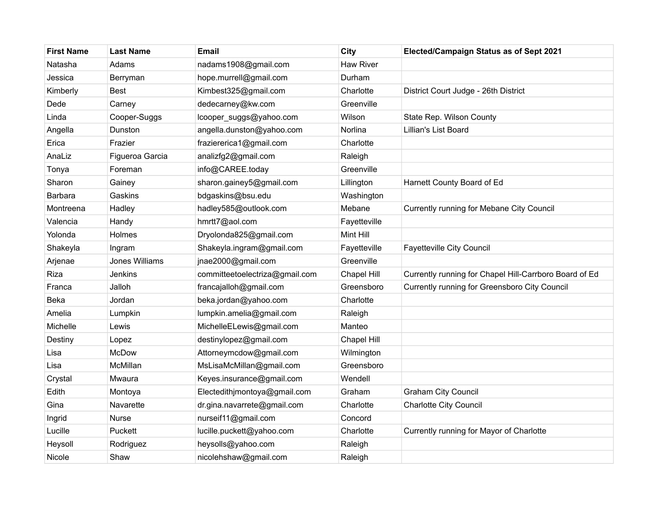| <b>First Name</b> | <b>Last Name</b> | <b>Email</b>                   | City             | Elected/Campaign Status as of Sept 2021                |
|-------------------|------------------|--------------------------------|------------------|--------------------------------------------------------|
| Natasha           | Adams            | nadams1908@gmail.com           | <b>Haw River</b> |                                                        |
| Jessica           | Berryman         | hope.murrell@gmail.com         | Durham           |                                                        |
| Kimberly          | <b>Best</b>      | Kimbest325@gmail.com           | Charlotte        | District Court Judge - 26th District                   |
| Dede              | Carney           | dedecarney@kw.com              | Greenville       |                                                        |
| Linda             | Cooper-Suggs     | lcooper_suggs@yahoo.com        | Wilson           | State Rep. Wilson County                               |
| Angella           | Dunston          | angella.dunston@yahoo.com      | Norlina          | Lillian's List Board                                   |
| Erica             | Frazier          | fraziererica1@gmail.com        | Charlotte        |                                                        |
| AnaLiz            | Figueroa Garcia  | analizfg2@gmail.com            | Raleigh          |                                                        |
| Tonya             | Foreman          | info@CAREE.today               | Greenville       |                                                        |
| Sharon            | Gainey           | sharon.gainey5@gmail.com       | Lillington       | Harnett County Board of Ed                             |
| <b>Barbara</b>    | Gaskins          | bdgaskins@bsu.edu              | Washington       |                                                        |
| Montreena         | Hadley           | hadley585@outlook.com          | Mebane           | Currently running for Mebane City Council              |
| Valencia          | Handy            | hmrtt7@aol.com                 | Fayetteville     |                                                        |
| Yolonda           | Holmes           | Dryolonda825@gmail.com         | Mint Hill        |                                                        |
| Shakeyla          | Ingram           | Shakeyla.ingram@gmail.com      | Fayetteville     | <b>Fayetteville City Council</b>                       |
| Arjenae           | Jones Williams   | jnae2000@gmail.com             | Greenville       |                                                        |
| Riza              | Jenkins          | committeetoelectriza@gmail.com | Chapel Hill      | Currently running for Chapel Hill-Carrboro Board of Ed |
| Franca            | Jalloh           | francajalloh@gmail.com         | Greensboro       | Currently running for Greensboro City Council          |
| Beka              | Jordan           | beka.jordan@yahoo.com          | Charlotte        |                                                        |
| Amelia            | Lumpkin          | lumpkin.amelia@gmail.com       | Raleigh          |                                                        |
| Michelle          | Lewis            | MichelleELewis@gmail.com       | Manteo           |                                                        |
| Destiny           | Lopez            | destinylopez@gmail.com         | Chapel Hill      |                                                        |
| Lisa              | <b>McDow</b>     | Attorneymcdow@gmail.com        | Wilmington       |                                                        |
| Lisa              | McMillan         | MsLisaMcMillan@gmail.com       | Greensboro       |                                                        |
| Crystal           | Mwaura           | Keyes.insurance@gmail.com      | Wendell          |                                                        |
| Edith             | Montoya          | Electedithjmontoya@gmail.com   | Graham           | <b>Graham City Council</b>                             |
| Gina              | Navarette        | dr.gina.navarrete@gmail.com    | Charlotte        | <b>Charlotte City Council</b>                          |
| Ingrid            | Nurse            | nurseif11@gmail.com            | Concord          |                                                        |
| Lucille           | Puckett          | lucille.puckett@yahoo.com      | Charlotte        | Currently running for Mayor of Charlotte               |
| Heysoll           | Rodriguez        | heysolls@yahoo.com             | Raleigh          |                                                        |
| Nicole            | Shaw             | nicolehshaw@gmail.com          | Raleigh          |                                                        |